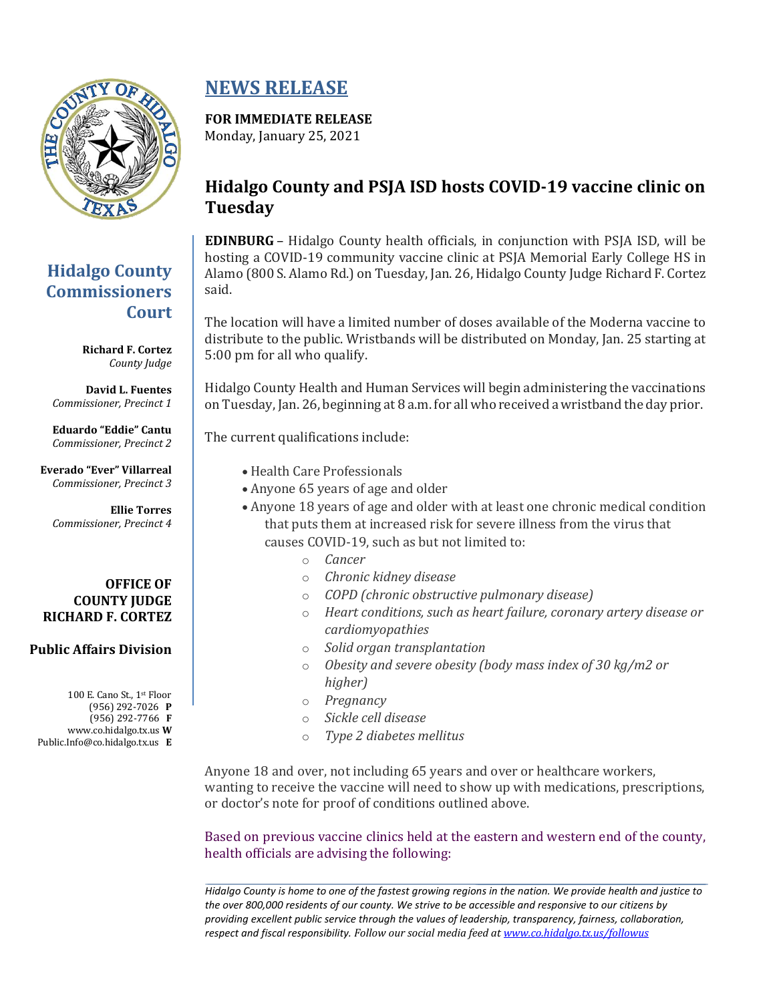

## **Hidalgo County Commissioners Court**

**Richard F. Cortez** *County Judge*

**David L. Fuentes** *Commissioner, Precinct 1*

**Eduardo "Eddie" Cantu** *Commissioner, Precinct 2*

**Everado "Ever" Villarreal** *Commissioner, Precinct 3*

**Ellie Torres** *Commissioner, Precinct 4*

### **OFFICE OF COUNTY JUDGE RICHARD F. CORTEZ**

### **Public Affairs Division**

100 E. Cano St., 1st Floor (956) 292-7026 **P** (956) 292-7766 **F** www.co.hidalgo.tx.us **W** Public.Info@co.hidalgo.tx.us **E**

# **NEWS RELEASE**

## **FOR IMMEDIATE RELEASE**

Monday, January 25, 2021

## **Hidalgo County and PSJA ISD hosts COVID-19 vaccine clinic on Tuesday**

**EDINBURG** – Hidalgo County health officials, in conjunction with PSJA ISD, will be hosting a COVID-19 community vaccine clinic at PSJA Memorial Early College HS in Alamo (800 S. Alamo Rd.) on Tuesday, Jan. 26, Hidalgo County Judge Richard F. Cortez said.

The location will have a limited number of doses available of the Moderna vaccine to distribute to the public. Wristbands will be distributed on Monday, Jan. 25 starting at 5:00 pm for all who qualify.

Hidalgo County Health and Human Services will begin administering the vaccinations on Tuesday, Jan. 26, beginning at 8 a.m. for all who received a wristband the day prior.

The current qualifications include:

- Health Care Professionals
- Anyone 65 years of age and older
- Anyone 18 years of age and older with at least one chronic medical condition that puts them at increased risk for severe illness from the virus that causes COVID-19, such as but not limited to:
	- o *Cancer*
	- o *Chronic kidney disease*
	- o *COPD (chronic obstructive pulmonary disease)*
	- o *Heart conditions, such as heart failure, coronary artery disease or cardiomyopathies*
	- o *Solid organ transplantation*
	- o *Obesity and severe obesity (body mass index of 30 kg/m2 or higher)*
	- o *Pregnancy*
	- o *Sickle cell disease*
	- o *Type 2 diabetes mellitus*

Anyone 18 and over, not including 65 years and over or healthcare workers, wanting to receive the vaccine will need to show up with medications, prescriptions, or doctor's note for proof of conditions outlined above.

Based on previous vaccine clinics held at the eastern and western end of the county, health officials are advising the following:

*Hidalgo County is home to one of the fastest growing regions in the nation. We provide health and justice to the over 800,000 residents of our county. We strive to be accessible and responsive to our citizens by providing excellent public service through the values of leadership, transparency, fairness, collaboration, respect and fiscal responsibility. Follow our social media feed at [www.co.hidalgo.tx.us/followus](http://www.co.hidalgo.tx.us/followus)*